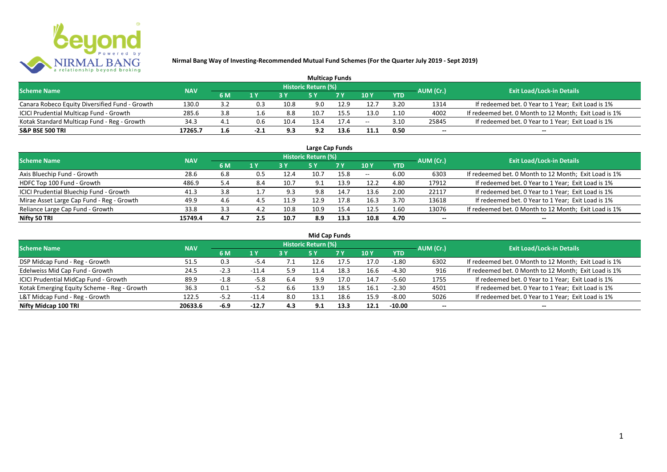

| <b>Multicap Funds</b>                          |            |     |        |      |                            |           |               |            |           |                                                       |  |  |  |
|------------------------------------------------|------------|-----|--------|------|----------------------------|-----------|---------------|------------|-----------|-------------------------------------------------------|--|--|--|
| <b>Scheme Name</b>                             | <b>NAV</b> |     |        |      | <b>Historic Return (%)</b> |           |               |            | AUM (Cr.) | <b>Exit Load/Lock-in Details</b>                      |  |  |  |
|                                                |            | 6 M | 1 Y    |      |                            | <b>7Y</b> | $\sqrt{10}$ y | <b>YTD</b> |           |                                                       |  |  |  |
| Canara Robeco Equity Diversified Fund - Growth | 130.0      | 3.2 | 0.3    | 10.8 | 9.0                        | 12.9      | 12.7          | 3.20       | 1314      | If redeemed bet. 0 Year to 1 Year; Exit Load is 1%    |  |  |  |
| ICICI Prudential Multicap Fund - Growth        | 285.6      | 3.8 | 1.6    | 8.8  | 10.                        |           | 13.0          | 1.10       | 4002      | If redeemed bet. 0 Month to 12 Month; Exit Load is 1% |  |  |  |
| Kotak Standard Multicap Fund - Reg - Growth    | 34.3       | 4.1 | 0.6    | 10.4 | L3.4                       |           | $- -$         | 3.10       | 25845     | If redeemed bet. 0 Year to 1 Year; Exit Load is 1%    |  |  |  |
| <b>S&amp;P BSE 500 TRI</b>                     | 17265.7    | 1.6 | $-2.1$ | 9.3  | 9.2                        |           | 11.1          | 0.50       | $-$       | $- -$                                                 |  |  |  |

|                                           |            |     |     |      |                            | Large Cap Funds |       |            |           |                                                       |
|-------------------------------------------|------------|-----|-----|------|----------------------------|-----------------|-------|------------|-----------|-------------------------------------------------------|
| <b>Scheme Name</b>                        | <b>NAV</b> |     |     |      | <b>Historic Return (%)</b> |                 |       |            | AUM (Cr.) | <b>Exit Load/Lock-in Details</b>                      |
|                                           |            | 6 M | 1Y  | 3 Y  | <b>5 Y</b>                 | 7Y              | 10Y   | <b>YTD</b> |           |                                                       |
| Axis Bluechip Fund - Growth               | 28.6       | 6.8 | 0.5 | 12.4 | 10.7                       | 15.8            | $- -$ | 6.00       | 6303      | If redeemed bet. 0 Month to 12 Month; Exit Load is 1% |
| HDFC Top 100 Fund - Growth                | 486.9      | 5.4 | 8.4 | 10.7 | 9.1                        | 13.9            | 12.2  | 4.80       | 17912     | If redeemed bet. 0 Year to 1 Year; Exit Load is 1%    |
| ICICI Prudential Bluechip Fund - Growth   | 41.3       | 3.8 | 1.7 | 9.3  | 9.8                        | 14.7            | 13.6  | 2.00       | 22117     | If redeemed bet. 0 Year to 1 Year; Exit Load is 1%    |
| Mirae Asset Large Cap Fund - Reg - Growth | 49.9       | 4.6 | 4.5 | 11.9 | 12.9                       | 17.8            | 16.3  | 3.70       | 13618     | If redeemed bet. 0 Year to 1 Year; Exit Load is 1%    |
| Reliance Large Cap Fund - Growth          | 33.8       | 3.3 | 4.2 | 10.8 | 10.9                       | 15.4            | 12.5  | 1.60       | 13076     | If redeemed bet. 0 Month to 12 Month; Exit Load is 1% |
| Nifty 50 TRI                              | 15749.4    | 4.7 | 2.5 | 10.7 | 8.9                        | 13.3            | 10.8  | 4.70       | --        | $- -$                                                 |

| <b>Mid Cap Funds</b>                        |            |        |         |     |                     |      |      |            |                          |                                                       |  |  |  |
|---------------------------------------------|------------|--------|---------|-----|---------------------|------|------|------------|--------------------------|-------------------------------------------------------|--|--|--|
| <b>Scheme Name</b>                          | <b>NAV</b> |        |         |     | Historic Return (%) |      |      |            | AUM (Cr.)                | <b>Exit Load/Lock-in Details</b>                      |  |  |  |
|                                             |            | 6 M    | 1 Y     |     | 5 Y                 | 7 Y  | 10Y  | <b>YTD</b> |                          |                                                       |  |  |  |
| DSP Midcap Fund - Reg - Growth              | 51.5       | 0.3    | $-5.4$  | 7.1 | 12.6                | 17.5 | 17.0 | $-1.80$    | 6302                     | If redeemed bet. 0 Month to 12 Month; Exit Load is 1% |  |  |  |
| Edelweiss Mid Cap Fund - Growth             | 24.5       | $-2.3$ | $-11.4$ | 5.9 | 11.4                | 18.3 | 16.6 | -4.30      | 916                      | If redeemed bet. 0 Month to 12 Month; Exit Load is 1% |  |  |  |
| ICICI Prudential MidCap Fund - Growth       | 89.9       | $-1.8$ | $-5.8$  | 6.4 | 9.9                 | 17.0 | 14.7 | $-5.60$    | 1755                     | If redeemed bet. 0 Year to 1 Year; Exit Load is 1%    |  |  |  |
| Kotak Emerging Equity Scheme - Reg - Growth | 36.3       | 0.1    | -5.2    | 6.6 | 13.9                | 18.5 | 16.1 | $-2.30$    | 4501                     | If redeemed bet. 0 Year to 1 Year; Exit Load is 1%    |  |  |  |
| L&T Midcap Fund - Reg - Growth              | 122.5      | $-5.2$ | $-11.4$ | 8.0 | 13.1                | 18.6 | 15.9 | $-8.00$    | 5026                     | If redeemed bet. 0 Year to 1 Year; Exit Load is 1%    |  |  |  |
| Nifty Midcap 100 TRI                        | 20633.6    | $-6.9$ | $-12.7$ | 4.3 | 9.1                 | 13.3 | 12.1 | $-10.00$   | $\overline{\phantom{a}}$ | $- -$                                                 |  |  |  |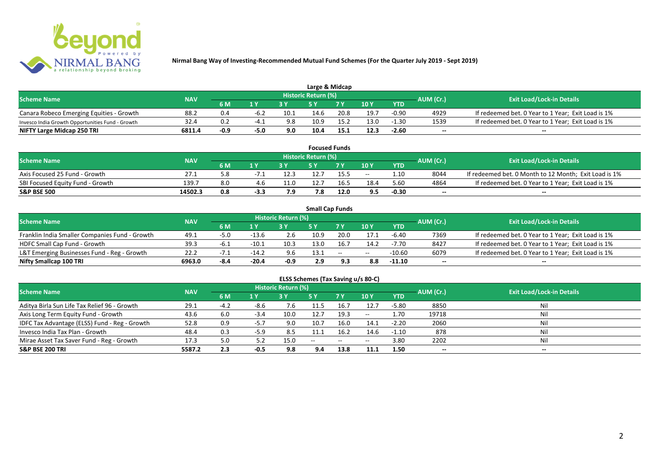

| Large & Midcap                                   |            |           |                |      |                            |      |      |            |           |                                                    |  |  |  |
|--------------------------------------------------|------------|-----------|----------------|------|----------------------------|------|------|------------|-----------|----------------------------------------------------|--|--|--|
| <b>Scheme Name</b>                               | <b>NAV</b> |           |                |      | <b>Historic Return (%)</b> |      |      |            | AUM (Cr.) | <b>Exit Load/Lock-in Details</b>                   |  |  |  |
|                                                  |            | <b>6M</b> | 1 <sub>N</sub> |      |                            | 7 V  | 10Y  | <b>YTD</b> |           |                                                    |  |  |  |
| Canara Robeco Emerging Equities - Growth         | 88.2       | 0.4       | $-6.2$         | 10.1 | 14.6                       | 20.8 | 19.7 | $-0.90$    | 4929      | If redeemed bet. 0 Year to 1 Year; Exit Load is 1% |  |  |  |
| Invesco India Growth Opportunities Fund - Growth | 32.4       | 0.2       | -4             | 9.8  | 10.9                       | 15.2 | 13.0 | $-1.30$    | 1539      | If redeemed bet. 0 Year to 1 Year; Exit Load is 1% |  |  |  |
| NIFTY Large Midcap 250 TRI                       | 6811.4     | $-0.9$    | -5.0           | 9.0  | 10.4                       | 15.1 | 12.3 | $-2.60$    | $- -$     | $- -$                                              |  |  |  |

|                                  |            |     |        |                  |                     | <b>Focused Funds</b> |       |            |           |                                                       |
|----------------------------------|------------|-----|--------|------------------|---------------------|----------------------|-------|------------|-----------|-------------------------------------------------------|
| <b>Scheme Name</b>               | <b>NAV</b> |     |        |                  | Historic Return (%) |                      |       |            | AUM (Cr.) | <b>Exit Load/Lock-in Details</b>                      |
|                                  |            | 6 M | 1 V    |                  | cν                  | 7 V                  | 10 Y  | <b>YTD</b> |           |                                                       |
| Axis Focused 25 Fund - Growth    | 27.1       |     | $-1.1$ | 12.5             | 12.7                | 15.5                 | $- -$ | 1.10       | 8044      | If redeemed bet. 0 Month to 12 Month; Exit Load is 1% |
| SBI Focused Equity Fund - Growth | 139.7      | 8.0 |        | 11.0             | 12.7                | 16.5                 | 18.4  | 5.60       | 4864      | If redeemed bet. 0 Year to 1 Year; Exit Load is 1%    |
| <b>S&amp;P BSE 500</b>           | 14502.3    | 0.8 | $-3.3$ | <b>70</b><br>, J | 7.8                 | 12.0                 | 9.5   | $-0.30$    | $- -$     | $- -$                                                 |

|                                                |            |      |         |                     | <b>Small Cap Funds</b> |        |       |            |           |                                                    |
|------------------------------------------------|------------|------|---------|---------------------|------------------------|--------|-------|------------|-----------|----------------------------------------------------|
| <b>Scheme Name</b>                             | <b>NAV</b> |      |         | Historic Return (%) |                        |        |       |            | AUM (Cr.) | <b>Exit Load/Lock-in Details</b>                   |
|                                                |            | 6 M  |         |                     |                        |        | 10Y   | <b>YTD</b> |           |                                                    |
| Franklin India Smaller Companies Fund - Growth | 49.1       | -5.0 | $-13.6$ | 2.6                 | 10.9                   | 20.0   | 17.1  | $-6.40$    | 7369      | If redeemed bet. 0 Year to 1 Year; Exit Load is 1% |
| HDFC Small Cap Fund - Growth                   | 39.3       | -6.⊥ | $-10.1$ | 10.3                | 13.0                   | 16.7   | 14.2  | $-7.70$    | 8427      | If redeemed bet. 0 Year to 1 Year; Exit Load is 1% |
| L&T Emerging Businesses Fund - Reg - Growth    | 22.2       |      | $-14.2$ |                     | 13.1                   | $\sim$ | $- -$ | $-10.60$   | 6079      | If redeemed bet. 0 Year to 1 Year; Exit Load is 1% |
| Nifty Smallcap 100 TRI                         | 6963.0     | -8.4 | $-20.4$ | -0.9                | 2.9                    | 9.3    |       | $-11.10$   | $- -$     | --                                                 |

# **ELSS Schemes (Tax Saving u/s 80-C)**

| <b>Scheme Name</b>                            | <b>NAV</b> |        |        | <b>Historic Return (%)</b> |       |      |         |            | AUM (Cr.)                | <b>Exit Load/Lock-in Details</b> |
|-----------------------------------------------|------------|--------|--------|----------------------------|-------|------|---------|------------|--------------------------|----------------------------------|
|                                               |            | 6 M    | 1 Y    |                            | 5 Y   | 7Y   | 10Y     | <b>YTD</b> |                          |                                  |
| Aditya Birla Sun Life Tax Relief 96 - Growth  | 29.1       | $-4.2$ | -8.6   | 7.6                        | 11.5  | 16.7 | 12.7    | $-5.80$    | 8850                     | Nil                              |
| Axis Long Term Equity Fund - Growth           | 43.6       | 6.0    | $-3.4$ | 10.0                       | 12.7  | 19.3 | $-  \,$ | 1.70       | 19718                    |                                  |
| IDFC Tax Advantage (ELSS) Fund - Reg - Growth | 52.8       | 0.9    | -5.7   | 9.0                        | 10.7  | 16.0 | 14.1    | $-2.20$    | 2060                     |                                  |
| Invesco India Tax Plan - Growth               | 48.4       | 0.3    | $-5.9$ | 8.5                        | 11.1  | 16.2 | 14.6    | $-1.10$    | 878                      |                                  |
| Mirae Asset Tax Saver Fund - Reg - Growth     | 17.3       | 5.0    |        | 15.0                       | $- -$ | --   | $- -$   | 3.80       | 2202                     |                                  |
| <b>S&amp;P BSE 200 TRI</b>                    | 5587.2     | 2.3    | $-0.5$ | 9.8                        | 9.4   | 13.8 | 11.1    | 1.50       | $\overline{\phantom{a}}$ | $\overline{\phantom{a}}$         |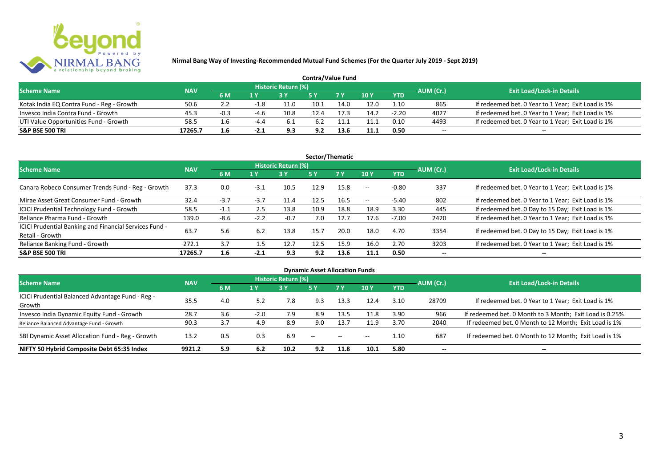

| <b>Contra/Value Fund</b>                  |            |           |        |                     |      |      |               |            |           |                                                    |  |  |  |
|-------------------------------------------|------------|-----------|--------|---------------------|------|------|---------------|------------|-----------|----------------------------------------------------|--|--|--|
| <b>Scheme Name</b>                        | <b>NAV</b> |           |        | Historic Return (%) |      |      |               |            | AUM (Cr.) | <b>Exit Load/Lock-in Details</b>                   |  |  |  |
|                                           |            | <b>6M</b> | 1 Y    |                     |      |      | $\sqrt{10}$ Y | <b>YTD</b> |           |                                                    |  |  |  |
| Kotak India EQ Contra Fund - Reg - Growth | 50.6       |           |        | 11.C                | 10.1 | 14.0 | 12.0          | 1.10       | 865       | If redeemed bet. 0 Year to 1 Year; Exit Load is 1% |  |  |  |
| Invesco India Contra Fund - Growth        | 45.3       | $-0.3$    | -4.6   | 10.8                |      |      | 14.2          | $-2.20$    | 4027      | If redeemed bet. 0 Year to 1 Year; Exit Load is 1% |  |  |  |
| UTI Value Opportunities Fund - Growth     | 58.5       | 1.6       |        | -6.1                | 6.2  |      | 11.1          | 0.10       | 4493      | If redeemed bet. 0 Year to 1 Year; Exit Load is 1% |  |  |  |
| <b>S&amp;P BSE 500 TRI</b>                | 17265.7    | 1.6       | $-2.1$ | 9.3                 | 9.2  |      | 11.1          | 0.50       | --        | $- -$                                              |  |  |  |

| Sector/Thematic                                                           |            |        |        |                            |           |           |         |            |           |                                                    |  |  |  |
|---------------------------------------------------------------------------|------------|--------|--------|----------------------------|-----------|-----------|---------|------------|-----------|----------------------------------------------------|--|--|--|
| <b>Scheme Name</b>                                                        | <b>NAV</b> |        |        | <b>Historic Return (%)</b> |           |           |         |            | AUM (Cr.) | <b>Exit Load/Lock-in Details</b>                   |  |  |  |
|                                                                           |            | 6 M    | 1 Y    | 3Y                         | <b>5Y</b> | <b>7Y</b> | 10Y     | <b>YTD</b> |           |                                                    |  |  |  |
| Canara Robeco Consumer Trends Fund - Reg - Growth                         | 37.3       | 0.0    | $-3.1$ | 10.5                       | 12.9      | 15.8      | $- -$ . | $-0.80$    | 337       | If redeemed bet. 0 Year to 1 Year; Exit Load is 1% |  |  |  |
| Mirae Asset Great Consumer Fund - Growth                                  | 32.4       | $-3.7$ | $-3.7$ | 11.4                       | 12.5      | 16.5      | $- -$   | $-5.40$    | 802       | If redeemed bet. 0 Year to 1 Year; Exit Load is 1% |  |  |  |
| <b>ICICI Prudential Technology Fund - Growth</b>                          | 58.5       | $-1.1$ | 2.5    | 13.8                       | 10.9      | 18.8      | 18.9    | 3.30       | 445       | If redeemed bet. 0 Day to 15 Day; Exit Load is 1%  |  |  |  |
| Reliance Pharma Fund - Growth                                             | 139.0      | $-8.6$ | $-2.2$ | $-0.7$                     | 7.0       | 12.7      | 17.6    | $-7.00$    | 2420      | If redeemed bet. 0 Year to 1 Year; Exit Load is 1% |  |  |  |
| ICICI Prudential Banking and Financial Services Fund -<br>Retail - Growth | 63.7       | 5.6    | 6.2    | 13.8                       | 15.7      | 20.0      | 18.0    | 4.70       | 3354      | If redeemed bet. 0 Day to 15 Day; Exit Load is 1%  |  |  |  |
| Reliance Banking Fund - Growth                                            | 272.1      | 3.7    | 1.5    | 12.7                       | 12.5      | 15.9      | 16.0    | 2.70       | 3203      | If redeemed bet. 0 Year to 1 Year; Exit Load is 1% |  |  |  |
| <b>S&amp;P BSE 500 TRI</b>                                                | 17265.7    | 1.6    | $-2.1$ | 9.3                        | 9.2       | 13.6      | 11.1    | 0.50       |           | --                                                 |  |  |  |

|                                                  |            |     |        |                            | <b>Dynamic Asset Allocation Funds</b> |               |       |            |                          |                                                         |
|--------------------------------------------------|------------|-----|--------|----------------------------|---------------------------------------|---------------|-------|------------|--------------------------|---------------------------------------------------------|
| <b>Scheme Name</b>                               | <b>NAV</b> |     |        | <b>Historic Return (%)</b> |                                       |               |       |            | AUM (Cr.)                | <b>Exit Load/Lock-in Details</b>                        |
|                                                  | 6 M        |     | 1 Y    | 73 Y.                      | 5 Y                                   | .7 Y          | 10Y   | <b>YTD</b> |                          |                                                         |
| ICICI Prudential Balanced Advantage Fund - Reg - | 35.5       | 4.0 | 5.2    | 7.8                        | 9.3                                   | 13.3          | 12.4  | 3.10       | 28709                    | If redeemed bet. 0 Year to 1 Year; Exit Load is 1%      |
| Growth                                           |            |     |        |                            |                                       |               |       |            |                          |                                                         |
| Invesco India Dynamic Equity Fund - Growth       | 28.7       | 3.6 | $-2.0$ | 7.9                        | 8.9                                   | 13.5          | 11.8  | 3.90       | 966                      | If redeemed bet. 0 Month to 3 Month; Exit Load is 0.25% |
| Reliance Balanced Advantage Fund - Growth        | 90.3       | 3.7 | 4.9    | 8.9                        | 9.0                                   | 13.7          | 11.9  | 3.70       | 2040                     | If redeemed bet. 0 Month to 12 Month; Exit Load is 1%   |
| SBI Dynamic Asset Allocation Fund - Reg - Growth | 13.2       | 0.5 | 0.3    | 6.9                        | $\sim$ $\sim$                         | $\sim$ $\sim$ | $- -$ | 1.10       | 687                      | If redeemed bet. 0 Month to 12 Month; Exit Load is 1%   |
| NIFTY 50 Hybrid Composite Debt 65:35 Index       | 9921.2     | 5.9 | 6.2    | 10.2                       | 9.2                                   | 11.8          | 10.1  | 5.80       | $\overline{\phantom{a}}$ | $- -$                                                   |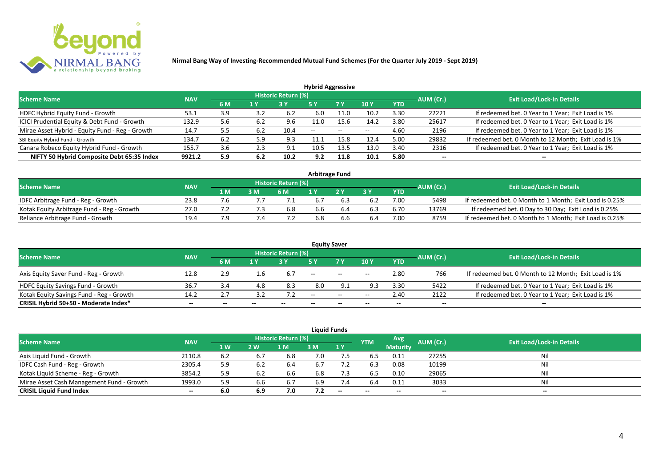

| <b>Hybrid Aggressive</b>                        |            |     |     |                            |                          |                          |                          |            |                          |                                                       |  |  |  |
|-------------------------------------------------|------------|-----|-----|----------------------------|--------------------------|--------------------------|--------------------------|------------|--------------------------|-------------------------------------------------------|--|--|--|
| <b>Scheme Name</b>                              | <b>NAV</b> |     |     | <b>Historic Return (%)</b> |                          |                          |                          |            | AUM (Cr.)                | <b>Exit Load/Lock-in Details</b>                      |  |  |  |
|                                                 |            | 6 M | 1 Y |                            | 5 Y                      | 7 Y                      | 10Y                      | <b>YTD</b> |                          |                                                       |  |  |  |
| HDFC Hybrid Equity Fund - Growth                | 53.1       | 3.9 | 3.2 | 6.2                        | 6.0                      | 11.0                     | 10.2                     | 3.30       | 22221                    | If redeemed bet. 0 Year to 1 Year; Exit Load is 1%    |  |  |  |
| ICICI Prudential Equity & Debt Fund - Growth    | 132.9      | 5.6 | 6.2 | 9.6                        | 11.0                     | 15.6                     | 14.2                     | 3.80       | 25617                    | If redeemed bet. 0 Year to 1 Year; Exit Load is 1%    |  |  |  |
| Mirae Asset Hybrid - Equity Fund - Reg - Growth | 14.7       | 5.5 | 6.2 | 10.4                       | $\overline{\phantom{a}}$ | $\overline{\phantom{a}}$ | $\overline{\phantom{a}}$ | 4.60       | 2196                     | If redeemed bet. 0 Year to 1 Year; Exit Load is 1%    |  |  |  |
| SBI Equity Hybrid Fund - Growth                 | 134.7      | 6.2 | 5.9 | 9.3                        | 11.1                     | 15.8                     | 12.4                     | 5.00       | 29832                    | If redeemed bet. 0 Month to 12 Month; Exit Load is 1% |  |  |  |
| Canara Robeco Equity Hybrid Fund - Growth       | 155.       | 3.6 | 2.3 | د.9                        | 10.5                     | 13.5                     | 13.0                     | 3.40       | 2316                     | If redeemed bet. 0 Year to 1 Year; Exit Load is 1%    |  |  |  |
| NIFTY 50 Hybrid Composite Debt 65:35 Index      | 9921.2     | 5.9 | 6.2 | 10.2                       | 9.2                      | 11.8                     | 10.1                     | 5.80       | $\overline{\phantom{a}}$ | $- -$                                                 |  |  |  |

| <b>Arbitrage Fund</b>                      |            |     |     |                            |     |    |     |            |           |                                                         |  |  |  |
|--------------------------------------------|------------|-----|-----|----------------------------|-----|----|-----|------------|-----------|---------------------------------------------------------|--|--|--|
| <b>Scheme Name</b>                         | <b>NAV</b> |     |     | <b>Historic Return (%)</b> |     |    |     |            | AUM (Cr.) | <b>Exit Load/Lock-in Details</b>                        |  |  |  |
|                                            |            | 1 M | 3 M | 6 M                        |     | つり |     | <b>YTD</b> |           |                                                         |  |  |  |
| IDFC Arbitrage Fund - Reg - Growth         | 23.8       |     |     |                            | 6.7 |    |     | 7.00       | 5498      | If redeemed bet. 0 Month to 1 Month; Exit Load is 0.25% |  |  |  |
| Kotak Equity Arbitrage Fund - Reg - Growth | 27.0       |     |     | 6.8                        | 6.6 |    |     | 6.70       | 13769     | If redeemed bet. 0 Day to 30 Day; Exit Load is 0.25%    |  |  |  |
| Reliance Arbitrage Fund - Growth           | 19.4       |     |     |                            | 6.8 |    | b.4 | 7.00       | 8759      | If redeemed bet. 0 Month to 1 Month; Exit Load is 0.25% |  |  |  |

|                                          |            |       |       |                     |       | <b>Equity Saver</b>      |       |            |           |                                                       |
|------------------------------------------|------------|-------|-------|---------------------|-------|--------------------------|-------|------------|-----------|-------------------------------------------------------|
| <b>Scheme Name</b>                       | <b>NAV</b> |       |       | Historic Return (%) |       |                          |       |            |           | <b>Exit Load/Lock-in Details</b>                      |
|                                          |            | 6 M   | 1 V   |                     |       | 7 <sub>V</sub>           | 10Y   | <b>YTD</b> | AUM (Cr.) |                                                       |
| Axis Equity Saver Fund - Reg - Growth    | 12.8       | 2.9   | 1.6   | 6.7                 | $- -$ | $\overline{\phantom{a}}$ | $- -$ | 2.80       | 766       | If redeemed bet. 0 Month to 12 Month; Exit Load is 1% |
| <b>HDFC Equity Savings Fund - Growth</b> | 36.7       | 3.4   | 4.8   | 8.3                 | 8.0   |                          | 9.3   | 3.30       | 5422      | If redeemed bet. 0 Year to 1 Year; Exit Load is 1%    |
| Kotak Equity Savings Fund - Reg - Growth | 14.2       | 2.7   |       |                     | $-$   | $\sim$                   | $- -$ | 2.40       | 2122      | If redeemed bet. 0 Year to 1 Year; Exit Load is 1%    |
| CRISIL Hybrid 50+50 - Moderate Index*    | $- -$      | $- -$ | $- -$ |                     | --    | $- -$                    |       | $- -$      | $- -$     | $- -$                                                 |

|                                           |            |     |     |                            |     | <b>Liquid Funds</b> |            |                 |           |                                  |
|-------------------------------------------|------------|-----|-----|----------------------------|-----|---------------------|------------|-----------------|-----------|----------------------------------|
| <b>Scheme Name</b>                        | <b>NAV</b> |     |     | <b>Historic Return (%)</b> |     |                     | <b>YTM</b> | Avg             | AUM (Cr.) | <b>Exit Load/Lock-in Details</b> |
|                                           |            | 1W  | 2 W | 1 M                        | 3 M | 1Y                  |            | <b>Maturity</b> |           |                                  |
| Axis Liquid Fund - Growth                 | 2110.8     | 6.2 | 6.7 | 6.8                        | 7.0 |                     | 6.5        | 0.11            | 27255     | Nil                              |
| IDFC Cash Fund - Reg - Growth             | 2305.4     | 5.9 | 6.2 | 6.4                        | 6.7 | 7.2                 | 6.3        | 0.08            | 10199     | Nil                              |
| Kotak Liquid Scheme - Reg - Growth        | 3854.2     | 5.9 | 6.2 | 6.6                        | 6.8 | 7.3                 | 6.5        | 0.10            | 29065     | Nil                              |
| Mirae Asset Cash Management Fund - Growth | 1993.0     | 5.9 | 6.6 | 6.7                        | 6.9 | 7.4                 | 6.4        | 0.11            | 3033      | Nil                              |
| <b>CRISIL Liquid Fund Index</b>           | $- -$      | 6.0 | 6.9 | 7.0                        | 7.2 | $-$                 | $- -$      |                 | $- -$     | $- -$                            |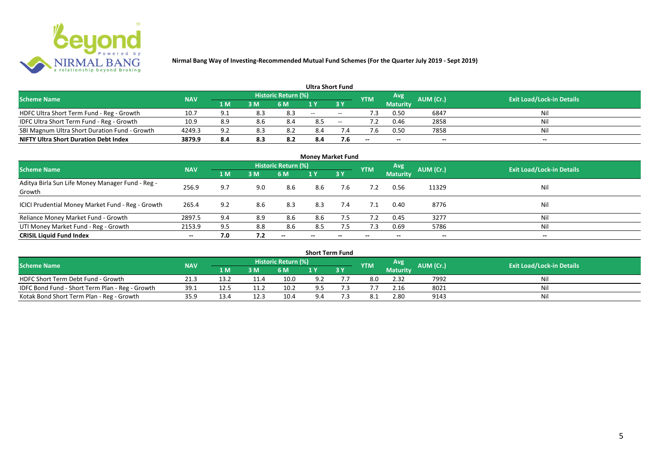

| <b>Ultra Short Fund</b>                       |            |     |     |                            |       |       |            |                 |           |                                  |  |  |  |  |
|-----------------------------------------------|------------|-----|-----|----------------------------|-------|-------|------------|-----------------|-----------|----------------------------------|--|--|--|--|
| <b>Scheme Name</b>                            | <b>NAV</b> |     |     | <b>Historic Return (%)</b> |       |       | <b>YTM</b> | Avg             | AUM (Cr.) | <b>Exit Load/Lock-in Details</b> |  |  |  |  |
|                                               |            | 1 M | 3 M | 6 M                        |       | 3 Y   |            | <b>Maturity</b> |           |                                  |  |  |  |  |
| HDFC Ultra Short Term Fund - Reg - Growth     | 10.7       | 9.1 | 8.3 | 8.3                        | $- -$ | $- -$ |            | 0.50            | 6847      | Nil                              |  |  |  |  |
| IDFC Ultra Short Term Fund - Reg - Growth     | 10.9       | 8.9 | 8.6 | 8.4                        | 8.5   | $- -$ | 7.2        | 0.46            | 2858      | Nil                              |  |  |  |  |
| SBI Magnum Ultra Short Duration Fund - Growth | 4249.3     | 9.2 | 8.3 | 8.2                        | 8.4   |       |            | 0.50            | 7858      | Nil                              |  |  |  |  |
| <b>NIFTY Ultra Short Duration Debt Index</b>  | 3879.9     | 8.4 | 8.3 | 8.2                        | 8.4   | 7.6   | $- -$      | $- -$           | $- -$     | $- -$                            |  |  |  |  |

| <b>Money Market Fund</b>                                   |            |     |     |                     |                          |        |            |                 |           |                                  |  |  |  |  |
|------------------------------------------------------------|------------|-----|-----|---------------------|--------------------------|--------|------------|-----------------|-----------|----------------------------------|--|--|--|--|
| <b>Scheme Name</b>                                         | <b>NAV</b> |     |     | Historic Return (%) |                          |        | <b>YTM</b> | Avg             | AUM (Cr.) | <b>Exit Load/Lock-in Details</b> |  |  |  |  |
|                                                            |            | 1 M | 3M  | <b>6 M</b>          | 1Y                       | 7 3 Y. |            | <b>Maturity</b> |           |                                  |  |  |  |  |
| Aditya Birla Sun Life Money Manager Fund - Reg -<br>Growth | 256.9      | 9.7 | 9.0 | 8.6                 | 8.6                      | 7.6    |            | 0.56            | 11329     | Nil                              |  |  |  |  |
| ICICI Prudential Money Market Fund - Reg - Growth          | 265.4      | 9.2 | 8.6 | 8.3                 | 8.3                      | 7.4    | 7.1        | 0.40            | 8776      | Nil                              |  |  |  |  |
| Reliance Money Market Fund - Growth                        | 2897.5     | 9.4 | 8.9 | 8.6                 | 8.6                      | 7.5    | 7.2        | 0.45            | 3277      | Nil                              |  |  |  |  |
| UTI Money Market Fund - Reg - Growth                       | 2153.9     | 9.5 | 8.8 | 8.6                 | 8.5                      | 7.5    | 7.3        | 0.69            | 5786      | Nil                              |  |  |  |  |
| <b>CRISIL Liquid Fund Index</b>                            | $- -$      | 7.0 | 7.2 | $- -$               | $\overline{\phantom{a}}$ | --     | $- -$      | $- -$           | $- -$     | $\overline{\phantom{a}}$         |  |  |  |  |

| <b>Short Term Fund</b>                          |            |      |      |                            |     |    |            |                 |           |                                  |  |  |  |  |
|-------------------------------------------------|------------|------|------|----------------------------|-----|----|------------|-----------------|-----------|----------------------------------|--|--|--|--|
| <b>Scheme Name</b>                              | <b>NAV</b> |      |      | <b>Historic Return (%)</b> |     |    | <b>YTM</b> | Avg             | AUM (Cr.) | <b>Exit Load/Lock-in Details</b> |  |  |  |  |
|                                                 |            | 1 M  | 3M   | 6 M                        |     | 3Y |            | <b>Maturity</b> |           |                                  |  |  |  |  |
| HDFC Short Term Debt Fund - Growth              | 21.3       | 13.2 |      | 10.0                       | 9.2 |    | 8.0        | 2.32            | 7992      | Nil                              |  |  |  |  |
| IDFC Bond Fund - Short Term Plan - Reg - Growth | 39.1       | 12.5 |      | 10.2                       | 9.5 |    |            | 2.16            | 8021      | Nil                              |  |  |  |  |
| Kotak Bond Short Term Plan - Reg - Growth       | 35.9       | 13.4 | 12.3 | 10.4                       | 9.4 |    |            | 2.80            | 9143      | Nil                              |  |  |  |  |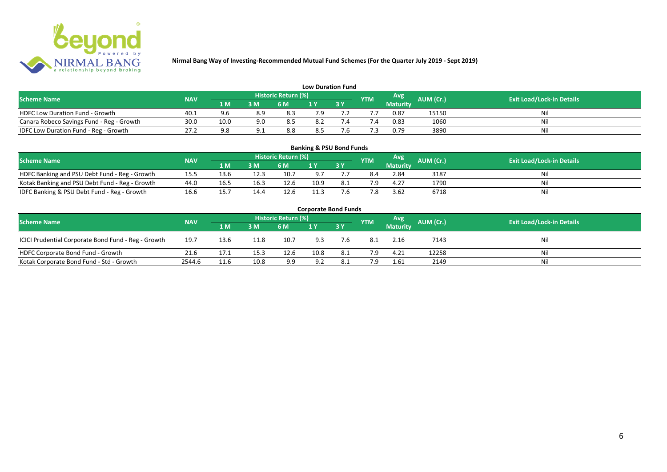

| <b>Low Duration Fund</b>                  |            |      |     |                            |     |  |            |          |           |                                  |  |  |  |  |
|-------------------------------------------|------------|------|-----|----------------------------|-----|--|------------|----------|-----------|----------------------------------|--|--|--|--|
| <b>Scheme Name</b>                        | <b>NAV</b> |      |     | <b>Historic Return (%)</b> |     |  | <b>YTM</b> | Avg      | AUM (Cr.) | <b>Exit Load/Lock-in Details</b> |  |  |  |  |
|                                           |            | 1 M  | 3 M | 6 M                        | 1 Y |  |            | Maturity |           |                                  |  |  |  |  |
| <b>HDFC Low Duration Fund - Growth</b>    | 40.1       |      | 8.9 | 8.3                        | 7.9 |  |            | 0.87     | 15150     | Nil                              |  |  |  |  |
| Canara Robeco Savings Fund - Reg - Growth | 30.0       | 10.0 | 9.0 | 8.5                        | 8.2 |  | '.4        | 0.83     | 1060      | Nil                              |  |  |  |  |
| IDFC Low Duration Fund - Reg - Growth     | 27.2       |      |     | 8.8                        | 8.5 |  |            | 0.79     | 3890      | Nil                              |  |  |  |  |

| <b>Banking &amp; PSU Bond Funds</b>            |                                  |      |      |      |      |      |            |                 |           |    |  |  |  |  |
|------------------------------------------------|----------------------------------|------|------|------|------|------|------------|-----------------|-----------|----|--|--|--|--|
| <b>Scheme Name</b>                             | <b>Exit Load/Lock-in Details</b> |      |      |      |      |      |            |                 |           |    |  |  |  |  |
|                                                | <b>NAV</b>                       | 1 M  | 3 M  | 6 M  |      | 73 Y | <b>YTM</b> | <b>Maturity</b> | AUM (Cr.) |    |  |  |  |  |
| HDFC Banking and PSU Debt Fund - Reg - Growth  | 15.5                             | 13.6 | 12.3 | 10.7 | 9.7  |      | 8.4        | 2.84            | 3187      | Ni |  |  |  |  |
| Kotak Banking and PSU Debt Fund - Reg - Growth | 44.0                             | 16.5 | 16.3 | 12.6 | 10.9 | 8.1  | ם ד        | 4.27            | 1790      | Ni |  |  |  |  |
| IDFC Banking & PSU Debt Fund - Reg - Growth    | 16.6                             | 15.7 | 14.4 | 12.6 | 11.3 | 7.6  |            | 3.62            | 6718      | Ni |  |  |  |  |

| <b>Corporate Bond Funds</b>                                                                                                   |        |      |      |      |      |     |      |                 |       |     |  |  |  |  |
|-------------------------------------------------------------------------------------------------------------------------------|--------|------|------|------|------|-----|------|-----------------|-------|-----|--|--|--|--|
| Historic Return (%)<br>Avg<br>AUM (Cr.)<br><b>Exit Load/Lock-in Details</b><br><b>Scheme Name</b><br><b>NAV</b><br><b>YTM</b> |        |      |      |      |      |     |      |                 |       |     |  |  |  |  |
|                                                                                                                               |        | 1 M  | 3 M  | 6 M  |      | 3Y  |      | <b>Maturity</b> |       |     |  |  |  |  |
| ICICI Prudential Corporate Bond Fund - Reg - Growth                                                                           | 19.7   | 13.6 | 11.8 | 10.7 | 9.3  | 7.6 | -8.1 | 2.16            | 7143  | Nil |  |  |  |  |
| HDFC Corporate Bond Fund - Growth                                                                                             | 21.6   | 17.1 | 15.3 | 12.6 | 10.8 | 8.1 | 7.9  | 4.21            | 12258 | Νi  |  |  |  |  |
| Kotak Corporate Bond Fund - Std - Growth                                                                                      | 2544.6 | 11.6 | 10.8 | 9.9  | 9.2  | 8.1 |      | 1.61            | 2149  | Nii |  |  |  |  |